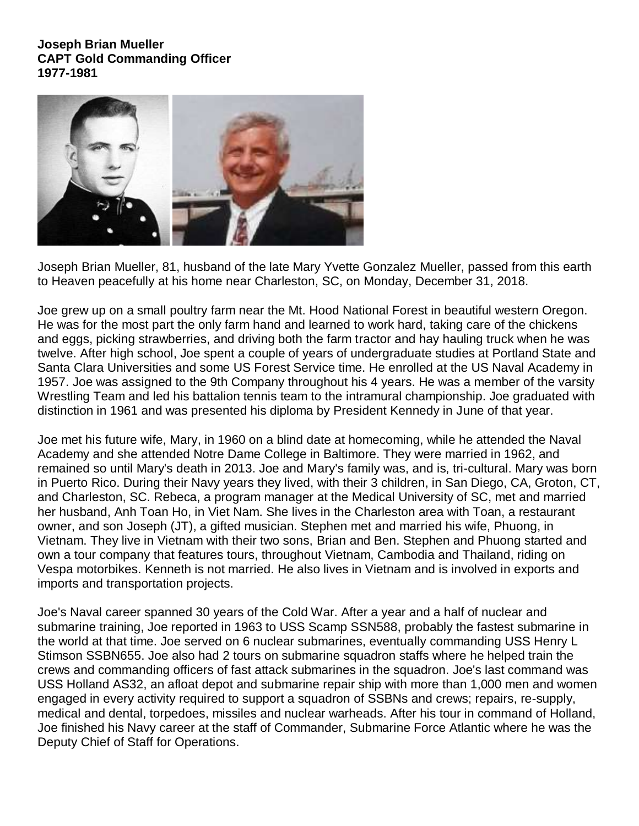**Joseph Brian Mueller CAPT Gold Commanding Officer 1977-1981**



Joseph Brian Mueller, 81, husband of the late Mary Yvette Gonzalez Mueller, passed from this earth to Heaven peacefully at his home near Charleston, SC, on Monday, December 31, 2018.

Joe grew up on a small poultry farm near the Mt. Hood National Forest in beautiful western Oregon. He was for the most part the only farm hand and learned to work hard, taking care of the chickens and eggs, picking strawberries, and driving both the farm tractor and hay hauling truck when he was twelve. After high school, Joe spent a couple of years of undergraduate studies at Portland State and Santa Clara Universities and some US Forest Service time. He enrolled at the US Naval Academy in 1957. Joe was assigned to the 9th Company throughout his 4 years. He was a member of the varsity Wrestling Team and led his battalion tennis team to the intramural championship. Joe graduated with distinction in 1961 and was presented his diploma by President Kennedy in June of that year.

Joe met his future wife, Mary, in 1960 on a blind date at homecoming, while he attended the Naval Academy and she attended Notre Dame College in Baltimore. They were married in 1962, and remained so until Mary's death in 2013. Joe and Mary's family was, and is, tri-cultural. Mary was born in Puerto Rico. During their Navy years they lived, with their 3 children, in San Diego, CA, Groton, CT, and Charleston, SC. Rebeca, a program manager at the Medical University of SC, met and married her husband, Anh Toan Ho, in Viet Nam. She lives in the Charleston area with Toan, a restaurant owner, and son Joseph (JT), a gifted musician. Stephen met and married his wife, Phuong, in Vietnam. They live in Vietnam with their two sons, Brian and Ben. Stephen and Phuong started and own a tour company that features tours, throughout Vietnam, Cambodia and Thailand, riding on Vespa motorbikes. Kenneth is not married. He also lives in Vietnam and is involved in exports and imports and transportation projects.

Joe's Naval career spanned 30 years of the Cold War. After a year and a half of nuclear and submarine training, Joe reported in 1963 to USS Scamp SSN588, probably the fastest submarine in the world at that time. Joe served on 6 nuclear submarines, eventually commanding USS Henry L Stimson SSBN655. Joe also had 2 tours on submarine squadron staffs where he helped train the crews and commanding officers of fast attack submarines in the squadron. Joe's last command was USS Holland AS32, an afloat depot and submarine repair ship with more than 1,000 men and women engaged in every activity required to support a squadron of SSBNs and crews; repairs, re-supply, medical and dental, torpedoes, missiles and nuclear warheads. After his tour in command of Holland, Joe finished his Navy career at the staff of Commander, Submarine Force Atlantic where he was the Deputy Chief of Staff for Operations.